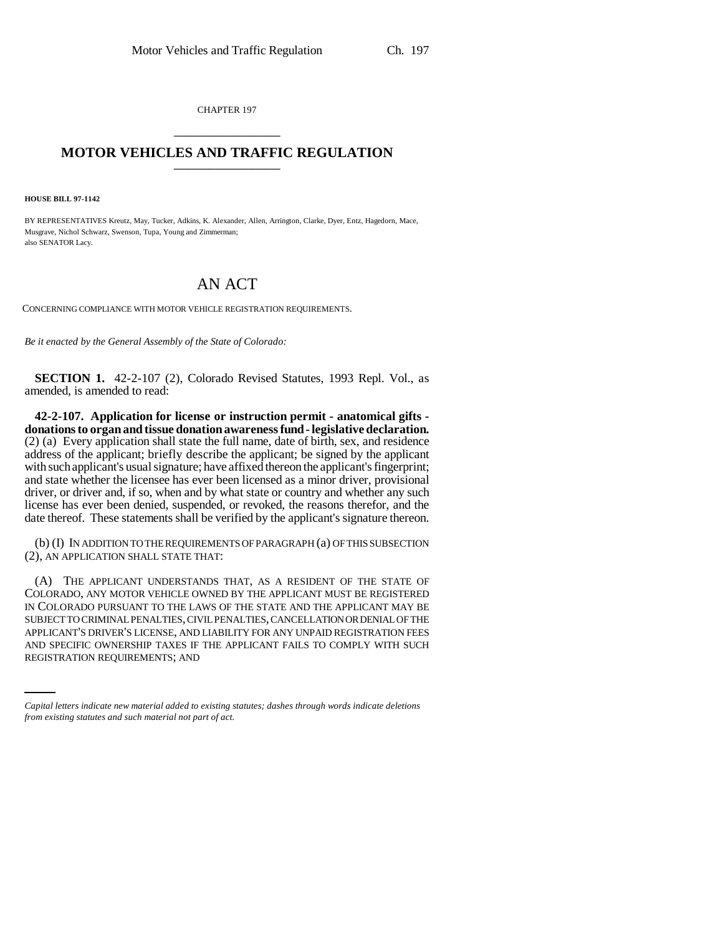CHAPTER 197 \_\_\_\_\_\_\_\_\_\_\_\_\_\_\_

## **MOTOR VEHICLES AND TRAFFIC REGULATION**

**HOUSE BILL 97-1142**

BY REPRESENTATIVES Kreutz, May, Tucker, Adkins, K. Alexander, Allen, Arrington, Clarke, Dyer, Entz, Hagedorn, Mace, Musgrave, Nichol Schwarz, Swenson, Tupa, Young and Zimmerman; also SENATOR Lacy.

## AN ACT

CONCERNING COMPLIANCE WITH MOTOR VEHICLE REGISTRATION REQUIREMENTS.

*Be it enacted by the General Assembly of the State of Colorado:*

**SECTION 1.** 42-2-107 (2), Colorado Revised Statutes, 1993 Repl. Vol., as amended, is amended to read:

**42-2-107. Application for license or instruction permit - anatomical gifts donations to organ and tissue donation awareness fund - legislative declaration.** (2) (a) Every application shall state the full name, date of birth, sex, and residence address of the applicant; briefly describe the applicant; be signed by the applicant with such applicant's usual signature; have affixed thereon the applicant's fingerprint; and state whether the licensee has ever been licensed as a minor driver, provisional driver, or driver and, if so, when and by what state or country and whether any such license has ever been denied, suspended, or revoked, the reasons therefor, and the date thereof. These statements shall be verified by the applicant's signature thereon.

(b) (I) IN ADDITION TO THE REQUIREMENTS OF PARAGRAPH (a) OF THIS SUBSECTION (2), AN APPLICATION SHALL STATE THAT:

APPLICANT'S DRIVER'S LICENSE, AND LIABILITY FOR ANY UNPAID REGISTRATION FEES (A) THE APPLICANT UNDERSTANDS THAT, AS A RESIDENT OF THE STATE OF COLORADO, ANY MOTOR VEHICLE OWNED BY THE APPLICANT MUST BE REGISTERED IN COLORADO PURSUANT TO THE LAWS OF THE STATE AND THE APPLICANT MAY BE SUBJECT TO CRIMINAL PENALTIES, CIVIL PENALTIES, CANCELLATION OR DENIAL OF THE AND SPECIFIC OWNERSHIP TAXES IF THE APPLICANT FAILS TO COMPLY WITH SUCH REGISTRATION REQUIREMENTS; AND

*Capital letters indicate new material added to existing statutes; dashes through words indicate deletions from existing statutes and such material not part of act.*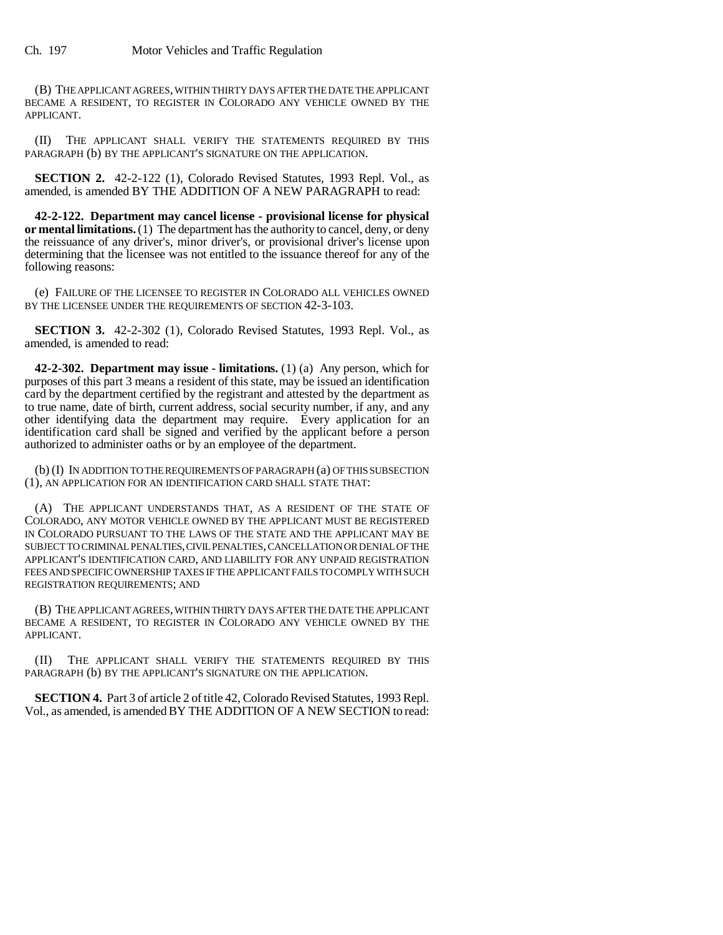(B) THE APPLICANT AGREES, WITHIN THIRTY DAYS AFTER THE DATE THE APPLICANT BECAME A RESIDENT, TO REGISTER IN COLORADO ANY VEHICLE OWNED BY THE APPLICANT.

(II) THE APPLICANT SHALL VERIFY THE STATEMENTS REQUIRED BY THIS PARAGRAPH (b) BY THE APPLICANT'S SIGNATURE ON THE APPLICATION.

**SECTION 2.** 42-2-122 (1), Colorado Revised Statutes, 1993 Repl. Vol., as amended, is amended BY THE ADDITION OF A NEW PARAGRAPH to read:

**42-2-122. Department may cancel license - provisional license for physical or mental limitations.** (1) The department has the authority to cancel, deny, or deny the reissuance of any driver's, minor driver's, or provisional driver's license upon determining that the licensee was not entitled to the issuance thereof for any of the following reasons:

(e) FAILURE OF THE LICENSEE TO REGISTER IN COLORADO ALL VEHICLES OWNED BY THE LICENSEE UNDER THE REQUIREMENTS OF SECTION 42-3-103.

**SECTION 3.** 42-2-302 (1), Colorado Revised Statutes, 1993 Repl. Vol., as amended, is amended to read:

**42-2-302. Department may issue - limitations.** (1) (a) Any person, which for purposes of this part 3 means a resident of this state, may be issued an identification card by the department certified by the registrant and attested by the department as to true name, date of birth, current address, social security number, if any, and any other identifying data the department may require. Every application for an identification card shall be signed and verified by the applicant before a person authorized to administer oaths or by an employee of the department.

(b) (I) IN ADDITION TO THE REQUIREMENTS OF PARAGRAPH (a) OF THIS SUBSECTION (1), AN APPLICATION FOR AN IDENTIFICATION CARD SHALL STATE THAT:

(A) THE APPLICANT UNDERSTANDS THAT, AS A RESIDENT OF THE STATE OF COLORADO, ANY MOTOR VEHICLE OWNED BY THE APPLICANT MUST BE REGISTERED IN COLORADO PURSUANT TO THE LAWS OF THE STATE AND THE APPLICANT MAY BE SUBJECT TO CRIMINAL PENALTIES, CIVIL PENALTIES, CANCELLATION OR DENIAL OF THE APPLICANT'S IDENTIFICATION CARD, AND LIABILITY FOR ANY UNPAID REGISTRATION FEES AND SPECIFIC OWNERSHIP TAXES IF THE APPLICANT FAILS TO COMPLY WITH SUCH REGISTRATION REQUIREMENTS; AND

(B) THE APPLICANT AGREES, WITHIN THIRTY DAYS AFTER THE DATE THE APPLICANT BECAME A RESIDENT, TO REGISTER IN COLORADO ANY VEHICLE OWNED BY THE APPLICANT.

(II) THE APPLICANT SHALL VERIFY THE STATEMENTS REQUIRED BY THIS PARAGRAPH (b) BY THE APPLICANT'S SIGNATURE ON THE APPLICATION.

**SECTION 4.** Part 3 of article 2 of title 42, Colorado Revised Statutes, 1993 Repl. Vol., as amended, is amended BY THE ADDITION OF A NEW SECTION to read: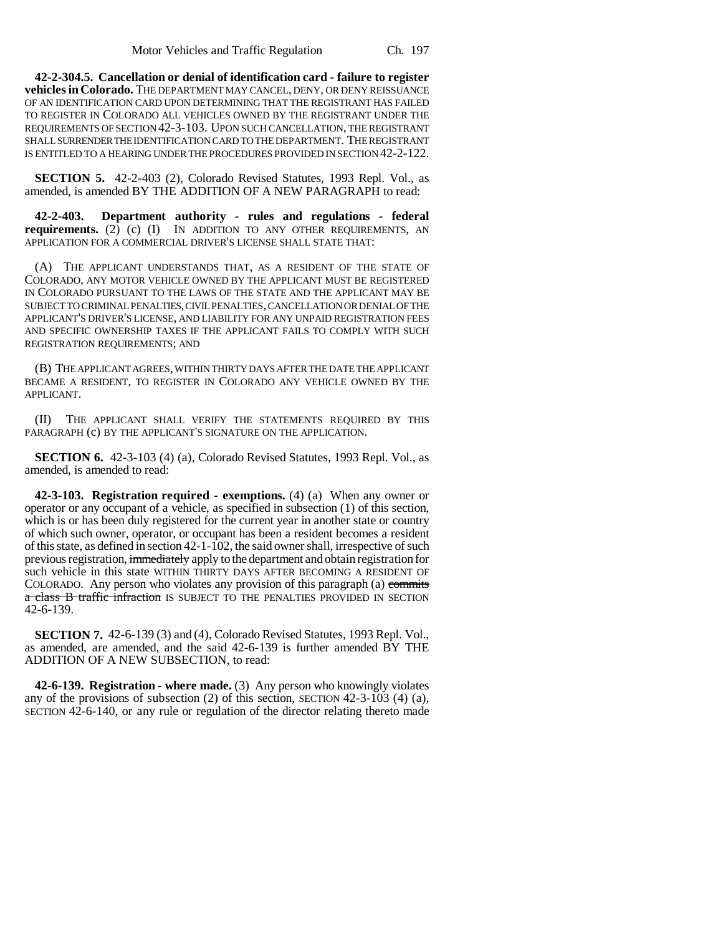**42-2-304.5. Cancellation or denial of identification card - failure to register vehicles in Colorado.** THE DEPARTMENT MAY CANCEL, DENY, OR DENY REISSUANCE OF AN IDENTIFICATION CARD UPON DETERMINING THAT THE REGISTRANT HAS FAILED TO REGISTER IN COLORADO ALL VEHICLES OWNED BY THE REGISTRANT UNDER THE REQUIREMENTS OF SECTION 42-3-103. UPON SUCH CANCELLATION, THE REGISTRANT SHALL SURRENDER THE IDENTIFICATION CARD TO THE DEPARTMENT. THE REGISTRANT IS ENTITLED TO A HEARING UNDER THE PROCEDURES PROVIDED IN SECTION 42-2-122.

**SECTION 5.** 42-2-403 (2), Colorado Revised Statutes, 1993 Repl. Vol., as amended, is amended BY THE ADDITION OF A NEW PARAGRAPH to read:

**42-2-403. Department authority - rules and regulations - federal requirements.** (2) (c) (I) IN ADDITION TO ANY OTHER REQUIREMENTS, AN APPLICATION FOR A COMMERCIAL DRIVER'S LICENSE SHALL STATE THAT:

(A) THE APPLICANT UNDERSTANDS THAT, AS A RESIDENT OF THE STATE OF COLORADO, ANY MOTOR VEHICLE OWNED BY THE APPLICANT MUST BE REGISTERED IN COLORADO PURSUANT TO THE LAWS OF THE STATE AND THE APPLICANT MAY BE SUBJECT TO CRIMINAL PENALTIES, CIVIL PENALTIES, CANCELLATION OR DENIAL OF THE APPLICANT'S DRIVER'S LICENSE, AND LIABILITY FOR ANY UNPAID REGISTRATION FEES AND SPECIFIC OWNERSHIP TAXES IF THE APPLICANT FAILS TO COMPLY WITH SUCH REGISTRATION REQUIREMENTS; AND

(B) THE APPLICANT AGREES, WITHIN THIRTY DAYS AFTER THE DATE THE APPLICANT BECAME A RESIDENT, TO REGISTER IN COLORADO ANY VEHICLE OWNED BY THE APPLICANT.

(II) THE APPLICANT SHALL VERIFY THE STATEMENTS REQUIRED BY THIS PARAGRAPH (c) BY THE APPLICANT'S SIGNATURE ON THE APPLICATION.

**SECTION 6.** 42-3-103 (4) (a), Colorado Revised Statutes, 1993 Repl. Vol., as amended, is amended to read:

**42-3-103. Registration required - exemptions.** (4) (a) When any owner or operator or any occupant of a vehicle, as specified in subsection (1) of this section, which is or has been duly registered for the current year in another state or country of which such owner, operator, or occupant has been a resident becomes a resident of this state, as defined in section 42-1-102, the said owner shall, irrespective of such previous registration, immediately apply to the department and obtain registration for such vehicle in this state WITHIN THIRTY DAYS AFTER BECOMING A RESIDENT OF COLORADO. Any person who violates any provision of this paragraph (a) commits a class B traffic infraction IS SUBJECT TO THE PENALTIES PROVIDED IN SECTION 42-6-139.

**SECTION 7.** 42-6-139 (3) and (4), Colorado Revised Statutes, 1993 Repl. Vol., as amended, are amended, and the said 42-6-139 is further amended BY THE ADDITION OF A NEW SUBSECTION, to read:

**42-6-139. Registration - where made.** (3) Any person who knowingly violates any of the provisions of subsection (2) of this section, SECTION 42-3-103 (4) (a), SECTION 42-6-140, or any rule or regulation of the director relating thereto made